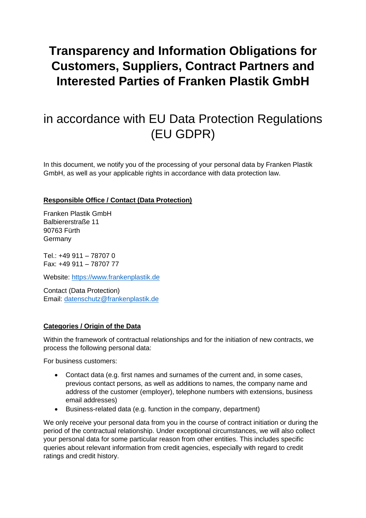# **Transparency and Information Obligations for Customers, Suppliers, Contract Partners and Interested Parties of Franken Plastik GmbH**

## in accordance with EU Data Protection Regulations (EU GDPR)

In this document, we notify you of the processing of your personal data by Franken Plastik GmbH, as well as your applicable rights in accordance with data protection law.

## **Responsible Office / Contact (Data Protection)**

Franken Plastik GmbH Balbiererstraße 11 90763 Fürth **Germany** 

Tel.: +49 911 – 78707 0 Fax: +49 911 – 78707 77

Website: [https://www.frankenplastik.de](https://www.frankenplastik.de/)

Contact (Data Protection) Email: [datenschutz@frankenplastik.de](mailto:datenschutz@frankenplastik.de)

## **Categories / Origin of the Data**

Within the framework of contractual relationships and for the initiation of new contracts, we process the following personal data:

For business customers:

- Contact data (e.g. first names and surnames of the current and, in some cases, previous contact persons, as well as additions to names, the company name and address of the customer (employer), telephone numbers with extensions, business email addresses)
- Business-related data (e.g. function in the company, department)

We only receive your personal data from you in the course of contract initiation or during the period of the contractual relationship. Under exceptional circumstances, we will also collect your personal data for some particular reason from other entities. This includes specific queries about relevant information from credit agencies, especially with regard to credit ratings and credit history.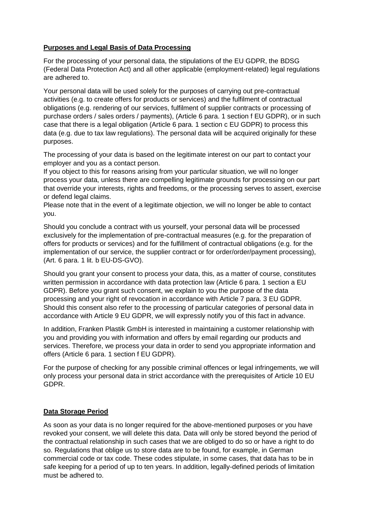#### **Purposes and Legal Basis of Data Processing**

For the processing of your personal data, the stipulations of the EU GDPR, the BDSG (Federal Data Protection Act) and all other applicable (employment-related) legal regulations are adhered to.

Your personal data will be used solely for the purposes of carrying out pre-contractual activities (e.g. to create offers for products or services) and the fulfilment of contractual obligations (e.g. rendering of our services, fulfilment of supplier contracts or processing of purchase orders / sales orders / payments), (Article 6 para. 1 section f EU GDPR), or in such case that there is a legal obligation (Article 6 para. 1 section c EU GDPR) to process this data (e.g. due to tax law regulations). The personal data will be acquired originally for these purposes.

The processing of your data is based on the legitimate interest on our part to contact your employer and you as a contact person.

If you object to this for reasons arising from your particular situation, we will no longer process your data, unless there are compelling legitimate grounds for processing on our part that override your interests, rights and freedoms, or the processing serves to assert, exercise or defend legal claims.

Please note that in the event of a legitimate objection, we will no longer be able to contact you.

Should you conclude a contract with us yourself, your personal data will be processed exclusively for the implementation of pre-contractual measures (e.g. for the preparation of offers for products or services) and for the fulfillment of contractual obligations (e.g. for the implementation of our service, the supplier contract or for order/order/payment processing), (Art. 6 para. 1 lit. b EU-DS-GVO).

Should you grant your consent to process your data, this, as a matter of course, constitutes written permission in accordance with data protection law (Article 6 para. 1 section a EU GDPR). Before you grant such consent, we explain to you the purpose of the data processing and your right of revocation in accordance with Article 7 para. 3 EU GDPR. Should this consent also refer to the processing of particular categories of personal data in accordance with Article 9 EU GDPR, we will expressly notify you of this fact in advance.

In addition, Franken Plastik GmbH is interested in maintaining a customer relationship with you and providing you with information and offers by email regarding our products and services. Therefore, we process your data in order to send you appropriate information and offers (Article 6 para. 1 section f EU GDPR).

For the purpose of checking for any possible criminal offences or legal infringements, we will only process your personal data in strict accordance with the prerequisites of Article 10 EU GDPR.

#### **Data Storage Period**

As soon as your data is no longer required for the above-mentioned purposes or you have revoked your consent, we will delete this data. Data will only be stored beyond the period of the contractual relationship in such cases that we are obliged to do so or have a right to do so. Regulations that oblige us to store data are to be found, for example, in German commercial code or tax code. These codes stipulate, in some cases, that data has to be in safe keeping for a period of up to ten years. In addition, legally-defined periods of limitation must be adhered to.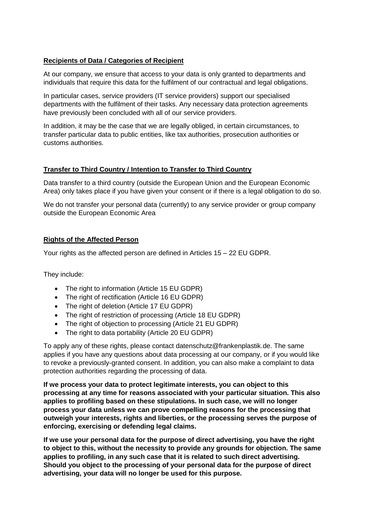#### **Recipients of Data / Categories of Recipient**

At our company, we ensure that access to your data is only granted to departments and individuals that require this data for the fulfilment of our contractual and legal obligations.

In particular cases, service providers (IT service providers) support our specialised departments with the fulfilment of their tasks. Any necessary data protection agreements have previously been concluded with all of our service providers.

In addition, it may be the case that we are legally obliged, in certain circumstances, to transfer particular data to public entities, like tax authorities, prosecution authorities or customs authorities.

#### **Transfer to Third Country / Intention to Transfer to Third Country**

Data transfer to a third country (outside the European Union and the European Economic Area) only takes place if you have given your consent or if there is a legal obligation to do so.

We do not transfer your personal data (currently) to any service provider or group company outside the European Economic Area

#### **Rights of the Affected Person**

Your rights as the affected person are defined in Articles 15 – 22 EU GDPR.

They include:

- The right to information (Article 15 EU GDPR)
- The right of rectification (Article 16 EU GDPR)
- The right of deletion (Article 17 EU GDPR)
- The right of restriction of processing (Article 18 EU GDPR)
- The right of objection to processing (Article 21 EU GDPR)
- The right to data portability (Article 20 EU GDPR)

To apply any of these rights, please contact datenschutz@frankenplastik.de. The same applies if you have any questions about data processing at our company, or if you would like to revoke a previously-granted consent. In addition, you can also make a complaint to data protection authorities regarding the processing of data.

**If we process your data to protect legitimate interests, you can object to this processing at any time for reasons associated with your particular situation. This also applies to profiling based on these stipulations. In such case, we will no longer process your data unless we can prove compelling reasons for the processing that outweigh your interests, rights and liberties, or the processing serves the purpose of enforcing, exercising or defending legal claims.**

**If we use your personal data for the purpose of direct advertising, you have the right to object to this, without the necessity to provide any grounds for objection. The same applies to profiling, in any such case that it is related to such direct advertising. Should you object to the processing of your personal data for the purpose of direct advertising, your data will no longer be used for this purpose.**